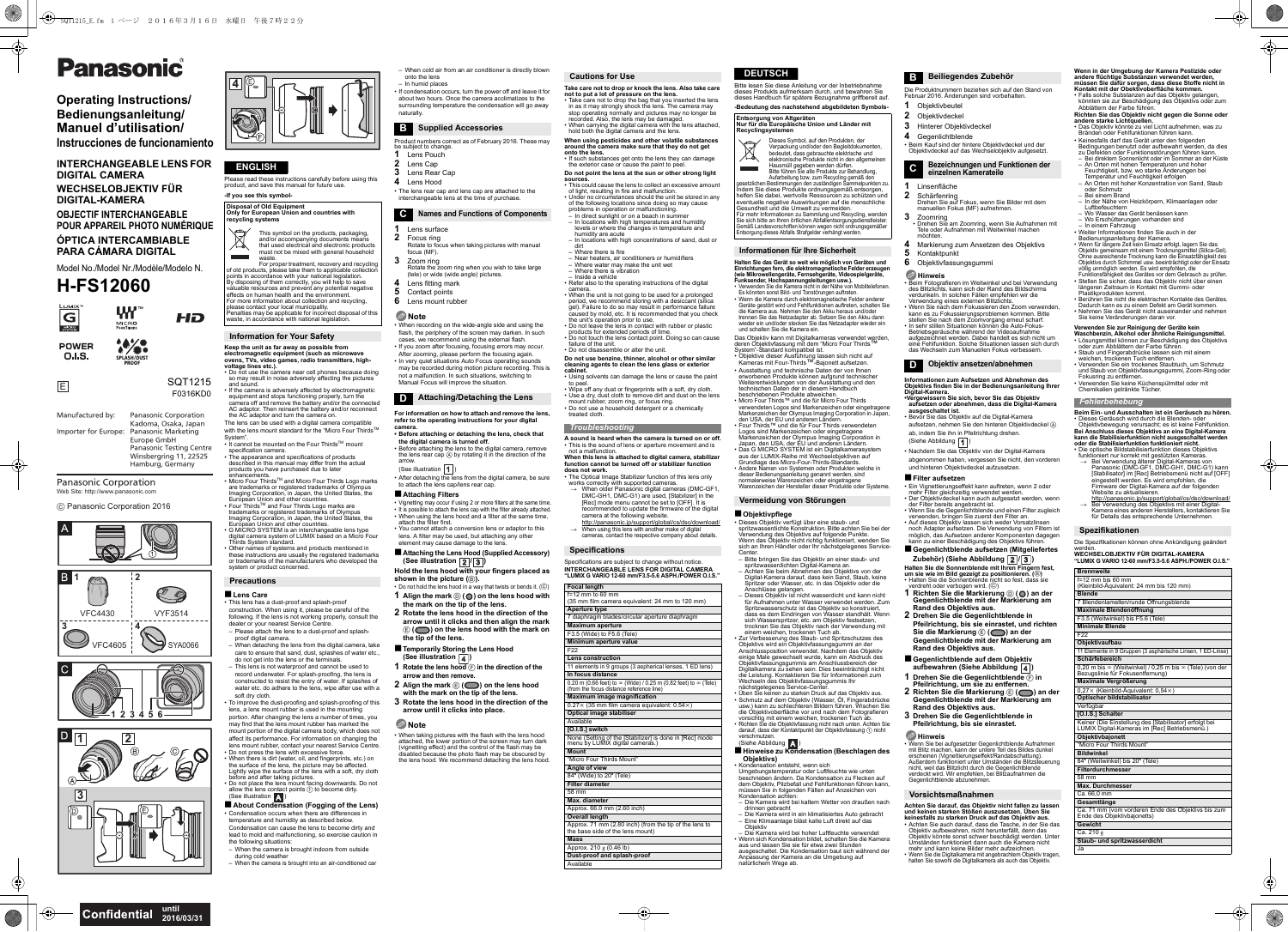Please read these instructions carefully before using this product, and save this manual for future use. **-If you see this symbol-**

# **Keep the unit as far away as possible from electromagnetic equipment (such as microwave ovens, TVs, video games, radio transmitters, high-**

**voltage lines etc.).** • Do not use the camera near cell phones because doing so may result in noise adversely affecting the pictures

• It cannot be mounted on the Four Thirds™ mount specification camera. • The appearance and specifications of products described in this manual may differ from the actual products you have purchased due to later

enhancements.Micro Four Thirds™ and Micro Four Thirds Logo marks are trademarks or registered trademarks of Olympus<br>Imaging Corporation, in Japan, the United States, the<br>European Union and other countries.<br>Four Thirds™ and Four Thirds Logo marks are

and sound. If the camera is adversely affected by electromagnetic equipment and stops functioning properly, turn the camera off and remove the battery and/or the connected AC adaptor. Then reinsert the battery and/or reconnect the AC adaptor and turn the camera on.

The lens can be used with a digital camera compatible with the lens mount standard for the "Micro Four Thirds<sup>TM</sup> System".

- Please attach the lens to a dust-proof and splashproof digital camera.
- When detaching the lens from the digital camera, take care to ensure that sand, dust, splashes of water etc., do not get into the lens or the terminals.
- This lens is not waterproof and cannot be used to record underwater. For splash-proofing, the lens is constructed to resist the entry of water. If splashes of water etc. do adhere to the lens, wipe after use with a soft dry cloth.
- To improve the dust-proofing and splash-proofing of this lens, a lens mount rubber is used in the mounting portion. After changing the lens a number of times, you may find that the lens mount rubber has marked the mount portion of the digital camera body, which does not affect its performance. For information on changing the lens mount rubber, contact your nearest Service Centre. • Do not press the lens with excessive force.<br>• When there is dirt (water, oil, and fingerprints, etc.) on<br>the surface of the lens, the picture may be affected.<br>Lightly wipe the surface of the lens with a soft, dry cloth<br>L

(See illustration A)

trademarks or registered trademarks of Olympus Imaging Corporation, in Japan, the United States, the European Union and other countries.

• G MICRO SYSTEM is an interchangeable lens type digital camera system of LUMIX based on a Micro Four Thirds System standard. • Other names of systems and products mentioned in these instructions are usually the registered trademarks or trademarks of the manufacturers who developed the

■ About Condensation (Fogging of the Lens) • Condensation occurs when there are differences in temperature and humidity as described below. Condensation can cause the lens to become dirty and lead to mold and malfunctioning, so exercise caution in the following situations:

- When the camera is brought indoors from outside during cold weather
- When the camera is brought into an air-conditioned car

# ∫**Lens Care**

 This lens has a dust-proof and splash-proof construction. When using it, please be careful of the following. If the lens is not working properly, consult the dealer or your nearest Service Centre.

• Before attaching the lens to the digital camera, remove the lens rear cap A by rotating it in the direction of the arrow.(See illustration  $\boxed{1}$ )

- Vignetting may occur if using 2 or more filters at the same time. • It is possible to attach the lens cap with the filter already attached.
- When using the lens hood and a filter at the same time, attach the filter first. You cannot attach a conversion lens or adaptor to this
- lens. A filter may be used, but attaching any other element may cause damage to the lens. ∫**Attaching the Lens Hood (Supplied Accessory)**
- **(See illustration**  $\boxed{2}/\boxed{3}$ **)**

–

- When cold air from an air conditioner is directly blown onto the lens
- In humid places

the exterior case or cause the paint to peel. **Do not point the lens at the sun or other strong light** 

• If condensation occurs, turn the power off and leave it for about two hours. Once the camera acclimatizes to the surrounding temperature the condensation will go away naturally.

- Product numbers correct as of February 2016. These may be subject to change. Lens Pouch
- **2**Lens Cap

**1**

- of the following locations since doing so may cause<br>problems in operation or malfunctioning.<br>- In direct sunlight or on a beach in summer<br>- In locations with high temperatures and humidity<br>- levels or where the changes in
- humidity are acute In locations with high concentrations of sand, dust or
- dirt Where there is fire
- –– Near heaters, air conditioners or humidifiers Where water may make the unit wet Where there is vibration
- Inside a vehicle
- **3**Lens Rear Cap
- **4**Lens Hood
- The lens rear cap and lens cap are attached to the interchangeable lens at the time of purchase.

**1** Lens surface

**3**

- **2** Focus ring Rotate to focus when taking pictures with manual
- focus (MF). Zoom ring
- Rotate the zoom ring when you wish to take large (tele) or wide (wide angle) pictures. Lens fitting mark
- **45**Contact points
- **6** Lens mount rubber
- **Note**
- When recording on the wide-angle side and using the flash, the periphery of the screen may darken. In such
- cases, we recommend using the external flash. • If you zoom after focusing, focusing errors may occur. After zooming, please perform the focusing again.
- In very quiet situations Auto Focus operating sounds may be recorded during motion picture recording. This is
- not a malfunction. In such situations, switching to Manual Focus will improve the situation.
- camera.<br>• When the unit is not going to be used for a prolonged<br>period, we recommend storing with a desiccant (silica<br>gel). Failure to do so may result in performance failure<br>caused by mold, etc. It is recommended that you
- the unit's operation prior to use. • Do not leave the lens in contact with rubber or plastic products for extended periods of time. Do not touch the lens contact point. Doing so can cause
- Do not touch the<br>failure of the unit.<br>• Do not disassem
- Do not disassemble or alter the unit. **Do not use benzine, thinner, alcohol or other similar cleaning agents to clean the lens glass or exterior cabinet.**
- Using solvents can damage the lens or cause the paint to pee
- Wipe off any dust or fingerprints with a soft, dry cloth. • Use a dry, dust cloth to remove dirt and dust on the lens
- mount rubber, zoom ring, or focus ring. Do not use a household detergent or a chemically treated cloth.

**For information on how to attach and remove the lens, refer to the operating instructions for your digital camera.**

 **• Before attaching or detaching the lens, check that the digital camera is turned off.**

• After detaching the lens from the digital camera, be sure to attach the lens cap/lens rear cap.

### ∫**Attaching Filters**

**Hold the lens hood with your fingers placed as shown in the picture (** B**).**

- Do not hold the lens hood in a way that twists or bends it. ( C) **1 Align the mark**  D **( ) on the lens hood with the mark on the tip of the lens.**
- **2 Rotate the lens hood in the direction of the arrow until it clicks and then align the mark**  E **( ) on the lens hood with the mark on the tip of the lens.**
- ∫**Temporarily Storing the Lens Hood (See illustration )**
- **1** Rotate the lens hood  $\overline{F}$  in the direction of the **arrow and then remove.**
- **2 Align the mark**  E **( ) on the lens hood with the mark on the tip of the lens.**
- **3 Rotate the lens hood in the direction of the arrow until it clicks into place.**

### **Note**

• When taking pictures with the flash with the lens hood attached, the lower portion of the screen may turn dark (vignetting effect) and the control of the flash may be disabled because the photo flash may be obscured by the lens hood. We recommend detaching the lens hood. **Take care not to drop or knock the lens. Also take care**  not to put a lot of pressure on the lens.<br>• Take care not to drop the bag that you inserted the lens<br>in as it may strongly shock the lens. The camera may<br>stop operating normally and pictures may no longer be<br>recorded. Also hold both the digital camera and the lens.

**When using pesticides and other volatile substances around the camera make sure that they do not get onto the lens.** • If such substances get onto the lens they can damage

- 2 Objektivdecke
- **3** Hinterer Objektivdeckel
- **4** Gegenlichtblende
- Beim Kauf sind der hintere Objektivdeckel und der Objektivdeckel auf das Wechselobjektiv aufgesetzt.

**sources.** • This could cause the lens to collect an excessive amount of light, resulting in fire and malfunction. Under no circumstances should the unit be stored in any

- Kontaktpunkt
- Objektivfassungsgummi

• Beim Fotografieren im Weitwinkel und bei Verwendung<br>des Biltzichts, kann sich der Rand des Bildschirms<br>verdunkeln. In solchen Fällen empfehlen wir die<br>Verwendung einse sexternen Blitzlichts.<br>• Wenn Sie nach dem Fokussier Betriebsgeräusche während der Videoaufnahme aufgezeichnet werden. Dabei handelt es sich nicht um eine Fehlfunktion. Solche Situationen lassen sich durch

das Wechseln zum Manuellen Fokus verbess

- aufsetzen, nehmen Sie den hinteren Objektivdeckel A ab, indem Sie ihn in Pfeilrichtung drehen.
- (Siehe Abbildung  $\boxed{1}$ )

–• Refer also to the operating instructions of the digital

### ∫**Gegenlichtblende auf dem Objektiv aufbewahren (Siehe Abbildung 4)**

Wenn Sie bei aufgesetzter Gegenlichtble mit Blitz machen, kann der untere Teil des Bildes dunkel erscheinen (Vignettierungseffekt/Randabschattung). Außerdem funktioniert unter Umständen die Blitzsteuerung nicht, weil das Blitzlicht durch die Gegenlichtblende verdeckt wird. Wir empfehlen, bei Blitzaufnahmen die Gegenlichtblende abzunehmen.

This is the sound of lens or aperture movement and is

 **When this lens is attached to digital camera, stabilizer function cannot be turned off or stabilizer function does not work.** • The Optical Image Stabilizer function of this lens only works correctly with supported cameras. > When older Panasonic digital cameras (DMC-GF1, DMC-GH1, DMC-G1) are used. [Stabilizer] in the [Rec] mode menu cannot be set to [OFF]. It is recommended to update the firmware of the digital

http://panasonic.jp/support/global/cs/dsc/download/<br>→ When using this lens with another make of digital

camera at the following website.

cameras, contact the respective company about details.

Specifications are subject to change without notice. **INTERCHANGEABLE LENS FOR DIGITAL CAMERA"LUMIX G VARIO 12-60 mm/F3.5-5.6 ASPH./POWER O.I.S."** Bitte lesen Sie diese Anleitung vor der Inbetriebnahme dieses Produkts aufmerksam durch, und bewahren Sie dieses Handbuch für spätere Bezugnahme griffbereit auf **-Bedeutung des nachstehend abgebildeten Symbols-**

> **Beim Ein- und Ausschalten ist ein Geräusch zu hören.**• Dieses Geräusch wird durch die Blenden- oder<br>– Objektivbewegung verursacht; es ist keine Fehlfunktion<br>Bei Anschluss dieses Objektivs an eine Digital-Kamera<br>kann die Stabilisierfunktion funktioniert nicht.<br>oder die Stabi

Die optische Bildstabilisierfunktion dieses Objektivs<br>funktioniert nur korrekt mit gestützten Kameras.

- funktioniert nur korrekt mit gestützten Kameras.<br>→ Bei Verwendung älterer Digital-Kameras von<br>Panasonic (DMC-GF1, DMC-GH1, DMC-G1) kann<br>[Stabilisator] im [Rec] Betriebsmenü nicht auf [OFF]<br>eingestellt werden. Es wird empf Website zu aktualisieren.
- http://panasonic.jp/support/global/cs/dsc/download/ Bei Verwendung des Objektivs mit einer Digital- $\rightarrow$ Kamera eines anderen Herstellers, kontaktieren Sie für Details das entsprechende Unter

Es könnten sonst Bild- und Tonstörungen auftreten. • Wenn die Kamera durch elektromagnetische Felder anderer Geräte gestört wird und Fehlfunktionen auftreten, schalten Sie die Kamera aus. Nehmen Sie den Akku heraus und/oder trennen Sie das Netzadapter ab. Setzen Sie den Akku dann wieder ein und/oder stecken Sie das Netzadapter wieder ein

Das Objektiv kann mit Digitalkameras verwendet werden,<br>deren Objektivfassung mit dem "Micro Four Thirds™ System"-Standard kompatibel ist.<br>• Objektive dieser Ausführung lassen sich nicht auf<br>− Kameras mit Four-Thirds™-Bajonett aufsetzen. • Ausstattung und technische Daten der von Ihnen erworbenen Produkte können aufgrund technischer Weiterentwicklungen von der Ausstattung und den technischen Daten der in diesem Handbuch beschriebenen Produkte abweichen.Micro Four Thirds™ und die für Micro Four Thirds

• Micro Four Thirds<sup>TM</sup> und die für Micro Four Thirds<br>
verwendeten Logos sind Markenzeichen oder eingetragene<br>
Markenzeichen der Olympus Imaging Corporation in Japan,<br>
den USA, der EU und anderen Ländern.<br>
• Four Thirds<sup>TM</sup>

aus der LUMIX-Reihe mit Wechselobjektiven auf<br>Grundlage des Micro-Four-Thirds-Standards.<br>• Andere Namen von Systemen oder Produkten welche in<br>• Andere Namen von Systemen oder eingetragene<br>normalerweise Warenzeichen oder ei

und schalten Sie die Kamera ein.

**Contract** waste. For proper treatment, recovery and recycling of old products, please take them to applicable collection points in accordance with your national legislation. By disposing of them correctly, you will help to save valuable resources and prevent any potential negative effects on human health and the environment. For more information about collection and recycling, please contact your local municipality. Penalties may be applicable for incorrect disposal of this waste, in accordance with national legislation.

> **Focal length**  $=$  12 mm to 60 mm

**Maximum image magnification**  $0.27 \times (35 \text{ mm film camera equivalent: } 0.54 \times)$ 

"Micro Four Thirds Mount"**Angle of view**<br>84° (Wide) to 20° (Tele) **Filter diameter** 58 mm **Max.** diameter

∫**Objektivpflege**

system or product concerned. **Precautions**

–

Bitte bringen Sie das Objektiv an einer staub- und

spritzwasserdichten Digital-Kamera an. Achten Sie beim Abnehmen des Objektivs von der Digital-Kamera darauf, dass kein Sand, Staub, keine Spritzer oder Wasser, etc. in das Objektiv oder die Anschlüsse gelangen. Dieses Objektiv ist nicht wasserdicht und kann nicht

für Aufnahmen unter Wasser verwendet werden. Zum<br>Spritzwasserschutz ist das Objektiv so konstruiert,<br>dass es dem Eindringen von Wasser standhält. Wenn<br>sich Wasserspritzer, etc. am Objektiv festsetzen,<br>trocknen Sie das Obje

einem weichen, trockenen Tuch ab.<br>• Zur Verbesserung des Staub- und Spritzschutzes des<br>• Zur Verbesserung des Staub- und Spritzschutzes des<br>• Anschlussposition verwendet. Nachdem das Objektiv<br>• einige Male gewechselt wurde Objektivfassungsgummis am Anschlussbereich der Digitalkamera zu sehen sein. Dies beeinträchtigt nicht die Leistung. Kontaktieren Sie für Informationen zum Wechseln des Objektivfassungsgummis Ihr<br>mächstgelegenes Service-Center.<br>• Üben Sie keinen zu starken Druck auf das Objektiv aus.<br>• Schmutz auf dem Objektiv (Wasser, Öl, Fingerabdrücke<br>• usw.) kann zu schlechteren Bildern f die Objektivoberfläche vor und nach dem Fotografieren vorsichtig mit einem weichen, trockenen Tuch ab. • Richten Sie die Objektivfassung nicht nach unten. Achten Sie darauf, dass der Kontaktpunkt der Objektivfassung 1 nicht verschmutzen.<br>(Siehe Abbildung **/ ∤** )<br>■ **Hinweise zu Kondensation (Beschlagen des** 

**Objektivs)**

Kondensation achte

• Kondensation entsteht, wenn sich

Umgebungstemperatur oder Luftfeuchte wie unten beschrieben ändern. Da Kondensation zu Flecken auf dem Objektiv, Pilzbefall und Fehlfunktionen führen kann, müssen Sie in folgenden Fällen auf Anzeichen von

 Die Kamera wird bei kaltem Wetter von draußen nach drinnen gebracht Die Kamera wird in ein klimatisiertes Auto gebracht Eine Klimaanlage bläst kalte Luft direkt auf das

Objektiv

–• Wenn sich Kondensation bildet, schalten Sie die Kamera aus und lassen Sie sie für etwa zwei Stunden ausgeschaltet. Die Kondensation baut sich während der Anpassung der Kamera an die Umgebung auf natürlichem Wege ab. Die Kamera wird bei hoher Luftfeuchte verwendet

Die Produktnummern beziehen sich auf den Stand von Februar 2016. Änderungen sind vorbehalten. Objektivbeutel

**1**

**1**

# Linsenfläche

**2**

Schärfenring Drehen Sie auf Fokus, wenn Sie Bilder mit dem manuellen Fokus (MF) aufnehmen.

**3**

 Zoomring • Drehen Sie am Zoomring, wenn Sie Aufnahmen mit Tele oder Aufnahmen mit Weitwinkel machen

möchten.

**4**

Markierung zum Ansetzen des Objektivs

**5**

**6**

**Hinweis**

# **Informationen zum Aufsetzen und Abnehmen des Objektivs finden Sie in der Bedienungsanleitung Ihrer**

# **Digital-Kamera. •Vergewissern Sie sich, bevor Sie das Objektiv aufsetzen oder abnehmen, dass die Digital-Kamera**

## **A sound is heard when the camera is turned on or off.**not a malfunction. *Troubleshooting*

 $\rightarrow$ 

**ausgeschaltet ist.** • Bevor Sie das Objektiv auf die Digital-Kamera

• Nachdem Sie das Objektiv von der Digital-Kamera abgenommen haben, vergessen Sie nicht, den vorderen und hinteren Objektivdeckel aufzusetzen.

#### ∫**Filter aufsetzen**

- Ein Vignettierungseffekt kann auftreten, wenn 2 oder mehr Filter gleichzeitig verwendet werden.
- Der Objektivdeckel kann auch aufgesetzt werden, wenn
	-
- Der Orgentweecker kann auch aufgesetzt werden, wenn<br>• der Filter bereits angebracht ist.<br>• Wenn Sie die Gegenlichtblende und einen Filter zugleich<br>• verwenden, bringen Sie zuerst den Filter an.<br>• Auf dieses Objektiv lass
- kann zu einer Beschädigung des Objektivs führen.

### ∫**Gegenlichtblende aufsetzen (Mitgeliefertes Zubehör) (Siehe Abbildung / )**

**Halten Sie die Sonnenblende mit Ihren Fingern fest,<br>um sie wie im Bild gezeigt zu positionieren. (⑤)<br>• Halten Sie die Sonnenblende nicht so fest, dass sie<br><u>→ verdreht oder verbogen wird. (⑥)</u>** 

**1 Richten Sie die Markierung**  D **( ) an der Gegenlichtblende mit der Markierung am Rand des Objektivs aus.**

**2 Drehen Sie die Gegenlichtblende in Pfeilrichtung, bis sie einrastet, und richten Sie die Markierung**  E **( ) an der Gegenlichtblende mit der Markierung am Rand des Objektivs aus.**

**1**

 **Drehen Sie die Gegenlichtblende**  F **in Pfeilrichtung, um sie zu entfernen. 2 Richten Sie die Markierung**  E **( ) an der** 

**Gegenlichtblende mit der Markierung am Rand des Objektivs aus. 3 Drehen Sie die Gegenlichtblende in** 

**Pfeilrichtung, bis sie einrastet.**

**Hinweis**

**Achten Sie darauf, das Objektiv nicht fallen zu lassen und keinen starken Stößen auszusetzen. Üben Sie keinesfalls zu starken Druck auf das Objektiv aus.** Achten Sie auch darauf, dass die Tasche, in der Sie das Objektiv aufbewahren, nicht herunterfällt, denn das Objektiv könnte sonst schwer beschädigt werden. Unter Umständen funktioniert dann auch die Kamera nicht smotanden ranktioniert dann dach die Ramt<br>nehr und kann keine Bilder mehr aufzeichn Wenn Sie die Digitalkamera mit angebrachtem Objektiv tragen, halten Sie sowohl die Digitalkamera als auch das Objektiv. Wenn in der Umgebung der Kamera Pestizide oder<br>andere flüchtige Substanzen verwendet werden,<br>müssen Sie dafür sorgen, dass diese Stoffe nicht in<br>Kontakt mit der Obektivoberfläche kommen.

• Falls solche Substanzen auf das Objektiv gelangen, könnten sie zur Beschädigung des Objektivs oder zum Abblättern der Farbe führen.

**Richten Sie das Objektiv nicht gegen die Sonne oder<br>andere starke Lichtquellen.<br>• Das Objektiv könnte zu viel Licht aufnehmen, was zu<br>• Bränden oder Fehlfunktionen führen kann.** 

- Keinesfalls darf das Gerät unter den folgenden
- Reinesräns darf das Gerat unter den folgenden<br>20 Defekten oder Funktionsstörungen führen kann.<br>20 Defekten oder Funktionsstörungen führen kann.<br>20 Defekten Sonnenlicht oder im Sommer an der Küste<br>20 An Orten mit hohen Te
- Temperatur und Feuchtigkeit erfolgen
- An Orten mit hoher Konzentration von Sand, Staub oder Schmutz
- Bei einem Brand In der Nähe von Heizkörpern, Klimaanlagen oder Luftbefeuchtern Wo Wasser das Gerät benässen kann
- 
- Wo Erschütterungen vorhanden sin
- In einem Fahrzeug Weiter Informationen finden Sie auch in der
- 
- Weiter informationen innen Sie auch in der<br>Bedienungsanleitung der Kamera.<br>• Wenn für längere Zeit kein Einsatz erfolgt, lagern Sie das<br>Objektiv gemeinsam mit einem Trocknungsmittel (Silicea-Gel).<br>Ohne ausreichende Trock völlig unmöglich werden. Es wird empfohlen, die Funktionsfähigkeit des Gerätes vor dem Gebrauch zu prüfen.
- Stellen Sie sicher, dass das Objektiv nicht über einen längeren Zeitraum in Kontakt mit Gummi- oder
- Plastikprodukten kommt. Berühren Sie nicht die elektrischen Kontakte des Gerätes. Dadurch kann es zu einem Defekt am Gerät kommen.
- Nehmen Sie das Gerät nicht auseinander und nehmen Sie keine Veränderungen daran vor.

- **Verwenden Sie zur Reinigung der Geräte kein Waschbenzin, Alkohol oder ähnliche Reinigungsmittel.** Lösungsmittel können zur Beschädigung des Objektivs oder zum Abblättern der Farbe führen.
- Staub und Fingerabdrücke lassen sich mit einem
- weichen, trockenen Tuch entfernen. Verwenden Sie ein trockenes Staubtuch, um Schmutz und Staub von Objektivfassungsgummi, Zoom-Ring oder
- Fokusring zu entfernen. Verwenden Sie keine Küchenspülmittel oder mit Chemikalien getränkte Tücher.

Die Spezifikationen können ohne Ankündigung geändert

# werden. **WECHSELOBJEKTIV FÜR DIGITAL-KAMERA "LUMIX G VARIO 12-60 mm/F3.5-5.6 ASPH./POWER O.I.S."**

# **Disposal of Old Equipment**

**Only for European Union and countries with recycling systems**



# **Information for Your Safety**



# **ENGLISH**

## **B Supplied Accessories**

# **C Names and Functions of Components**

# **D Attaching/Detaching the Lens**

## **Cautions for Use**

**Specifications**

(35 mm film camera equivalent: 24 mm to 120 mm)

**Aperture type**

7 diaphragm blades/circular aperture diaphragm

**Maximum aperture** F3.5 (Wide) to F5.6 (Tele) **Minimum aperture value**

F22

**Lens construction**

11 elements in 9 groups (3 aspherical lenses, 1 ED lens)

0.20 m (0.66 feet) to  $\infty$  (Wide) / 0.25 m (0.82 feet) to  $\infty$  (Tele) (from the focus distance reference line)

<u>remer omnouded</u><br>None (Setting of the [Stabilizer] is done in [Rec] mode<br>menu by LUMIX digital cameras.)

**In focus distance**

**Optical image stabiliser**

Available**[O.I.S.] switch**

**Mount**

Approx. 66.0 mm (2.60 inch)

**Overall length**

Approx. 71 mm (2.80 inch) (from the tip of the lens to

the base side of the lens mount)

**Mass**

 Approx. 210 g (0.46 lb) **Dust-proof and splash-proof**

Available

**Entsorgung von Altgeräten Nur für die Europäische Union und Länder mit** 

Dieses Symbol, auf den Produkten, der Verpackung und/oder den Begleitdokumenten, bedeutet, dass gebrauchte elektrische und elektronische Produkte nicht in den allgemeinen Hausmüll gegeben werden dürfen. Bitte führen Sie alte Produkte zur Behandlung,

Aufarbeitung bzw. zum Recycling gemäß den<br>gesetzlichen Bestimmungen den zuständigen Samelepunkten zu<br>Indem Sie diese Produkte ordnungsgemäß entsorgen,<br>helfen Sie dabei, wertvolle Ressourcen zu schützen und<br>eventuelle negat

Für mehr Informationen zu Sammlung und Recycling, wenden<br>Sie sich bitte an Ihren örtlichen Abfallentsorgungsdienstleister.<br>Gemäß Landesvorschriften können wegen nicht ordnungsgemäßer<br>Entsorgung dieses Abfalls Strafgelder v

**Informationen für Ihre Sicherheit**

**Recyclingsyste** 

 $\boxtimes$ **Contract** 

**DEUTSCH** 

Halten Sie das Gerät so weit wie möglich von Geräten und<br>Einrichtungen fern, die elektromagnetische Felder erzeugen<br>(wie Mikrowellengeräte, Fernsehgeräte, Videospielgeräte,<br>Funksenden, Hochspannungsleitungen usw.).<br>• Verw

**Vermeidung von Störungen**

• Dieses Objektiv verfügt über eine staub- und<br>spritzwasserdichte Konstruktion. Bitte achten Sie bei der<br>Verwendung des Objektivs auf folgende Punkte.<br>Wenn das Objektiv nicht richtig funktioniert, wenden Sie<br>sich an Ihren

### **B Beiliegendes Zubehör**

**C**

# **Bezeichnungen und Funktionen der einzelnen Kamerateile**

### **D Objektiv ansetzen/abnehmen**

#### **Vorsichtsmaßnahmen**

# *Fehlerbehebung*

### **Spezifikationen**

| <b>Brennweite</b>                                                                                          |
|------------------------------------------------------------------------------------------------------------|
| $f=12$ mm bis 60 mm                                                                                        |
| (Kleinbild-Äquivalent: 24 mm bis 120 mm)                                                                   |
| <b>Blende</b>                                                                                              |
| 7 Blendenlamellen/runde Öffnungsblende                                                                     |
| Maximale Blendenöffnung                                                                                    |
| F3.5 (Weitwinkel) bis F5.6 (Tele)                                                                          |
| <b>Minimale Blende</b>                                                                                     |
| F22                                                                                                        |
| Objektivaufbau                                                                                             |
| 11 Elemente in 9 Gruppen (3 asphärische Linsen, 1 ED-Linse)                                                |
| Schärfebereich                                                                                             |
| 0.20 m bis $\infty$ (Weitwinkel) / 0,25 m bis $\infty$ (Tele) (von der<br>Bezugslinie für Fokusentfernung) |
| Maximale Vergrößerung                                                                                      |
| $0.27 \times$ (Kleinbild-Äquivalent: $0.54 \times$ )                                                       |
| Optischer bildstabilisator                                                                                 |
| Verfügbar                                                                                                  |
| <b>[O.I.S.] Schalter</b>                                                                                   |
| Keiner (Die Einstellung des [Stabilisator] erfolgt bei<br>LUMIX Digital-Kameras im [Rec] Betriebsmenü.)    |
| Objektivbajonett                                                                                           |
| "Micro Four Thirds Mount"                                                                                  |
| <b>Bildwinkel</b>                                                                                          |
| 84° (Weitwinkel) bis 20° (Tele)                                                                            |
| Filterdurchmesser                                                                                          |
| 58 mm                                                                                                      |
| Max. Durchmesser                                                                                           |
| Ca. 66,0 mm                                                                                                |
| Gesamtlänge                                                                                                |
| Ca. 71 mm (vom vorderen Ende des Objektivs bis zum<br>Ende des Objektivbajonetts)                          |
| Gewicht                                                                                                    |
| Ca. 210 g                                                                                                  |
| Staub- und spritzwasserdicht                                                                               |
| Ja.                                                                                                        |

# **Panasonic**

**Operating Instructions/ Bedienungsanleitung/ Manuel d'utilisation/Instrucciones de funcionamiento**

**INTERCHANGEABLE LENS FOR DIGITAL CAMERAWECHSELOBJEKTIV FÜR DIGITAL-KAMERAOBJECTIF INTERCHANGEABLE POUR APPAREIL PHOTO NUMÉRIQUE**

**ÓPTICA INTERCAMBIABLE PARA CÁMARA DIGITAL**

Model No./Model Nr./Modèle/Modelo N.

# **H-FS12060**



Panasonic Corporation Web Site: http://www.panasonic.com

Panasonic Corporation 2016

Manufactured by: Panasonic Corporation Kadoma, Osaka, Japan Importer for Europe: Panasonic Marketing Europe GmbH Panasonic Testing Centre Winsbergring 11, 22525 Hamburg, Germany







SQT1215F0316KD0

HD

E